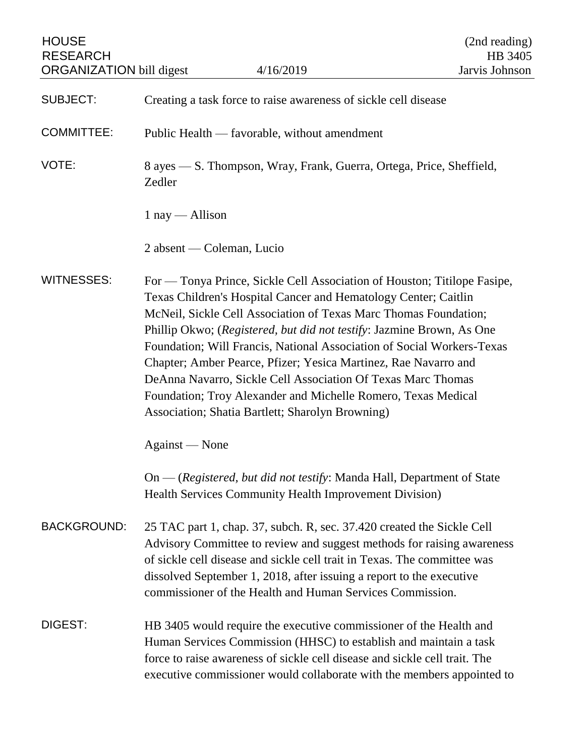| <b>HOUSE</b><br><b>RESEARCH</b><br><b>ORGANIZATION</b> bill digest |                                                                                                                                                                                                                                                                                                                                                                                                                                                                                                                                                                                                                            | 4/16/2019                                                                                                                                                                                                                                                                                       | (2nd reading)<br>HB 3405<br>Jarvis Johnson |
|--------------------------------------------------------------------|----------------------------------------------------------------------------------------------------------------------------------------------------------------------------------------------------------------------------------------------------------------------------------------------------------------------------------------------------------------------------------------------------------------------------------------------------------------------------------------------------------------------------------------------------------------------------------------------------------------------------|-------------------------------------------------------------------------------------------------------------------------------------------------------------------------------------------------------------------------------------------------------------------------------------------------|--------------------------------------------|
|                                                                    |                                                                                                                                                                                                                                                                                                                                                                                                                                                                                                                                                                                                                            |                                                                                                                                                                                                                                                                                                 |                                            |
| <b>SUBJECT:</b>                                                    | Creating a task force to raise awareness of sickle cell disease                                                                                                                                                                                                                                                                                                                                                                                                                                                                                                                                                            |                                                                                                                                                                                                                                                                                                 |                                            |
| <b>COMMITTEE:</b>                                                  | Public Health — favorable, without amendment                                                                                                                                                                                                                                                                                                                                                                                                                                                                                                                                                                               |                                                                                                                                                                                                                                                                                                 |                                            |
| VOTE:                                                              | 8 ayes — S. Thompson, Wray, Frank, Guerra, Ortega, Price, Sheffield,<br>Zedler                                                                                                                                                                                                                                                                                                                                                                                                                                                                                                                                             |                                                                                                                                                                                                                                                                                                 |                                            |
|                                                                    | $1$ nay — Allison                                                                                                                                                                                                                                                                                                                                                                                                                                                                                                                                                                                                          |                                                                                                                                                                                                                                                                                                 |                                            |
|                                                                    | $2$ absent — Coleman, Lucio                                                                                                                                                                                                                                                                                                                                                                                                                                                                                                                                                                                                |                                                                                                                                                                                                                                                                                                 |                                            |
| WITNESSES:                                                         | For — Tonya Prince, Sickle Cell Association of Houston; Titilope Fasipe,<br>Texas Children's Hospital Cancer and Hematology Center; Caitlin<br>McNeil, Sickle Cell Association of Texas Marc Thomas Foundation;<br>Phillip Okwo; (Registered, but did not testify: Jazmine Brown, As One<br>Foundation; Will Francis, National Association of Social Workers-Texas<br>Chapter; Amber Pearce, Pfizer; Yesica Martinez, Rae Navarro and<br>DeAnna Navarro, Sickle Cell Association Of Texas Marc Thomas<br>Foundation; Troy Alexander and Michelle Romero, Texas Medical<br>Association; Shatia Bartlett; Sharolyn Browning) |                                                                                                                                                                                                                                                                                                 |                                            |
|                                                                    | Against — None                                                                                                                                                                                                                                                                                                                                                                                                                                                                                                                                                                                                             |                                                                                                                                                                                                                                                                                                 |                                            |
|                                                                    |                                                                                                                                                                                                                                                                                                                                                                                                                                                                                                                                                                                                                            | On — (Registered, but did not testify: Manda Hall, Department of State<br>Health Services Community Health Improvement Division)                                                                                                                                                                |                                            |
| <b>BACKGROUND:</b>                                                 | 25 TAC part 1, chap. 37, subch. R, sec. 37.420 created the Sickle Cell<br>Advisory Committee to review and suggest methods for raising awareness<br>of sickle cell disease and sickle cell trait in Texas. The committee was<br>dissolved September 1, 2018, after issuing a report to the executive<br>commissioner of the Health and Human Services Commission.                                                                                                                                                                                                                                                          |                                                                                                                                                                                                                                                                                                 |                                            |
| DIGEST:                                                            |                                                                                                                                                                                                                                                                                                                                                                                                                                                                                                                                                                                                                            | HB 3405 would require the executive commissioner of the Health and<br>Human Services Commission (HHSC) to establish and maintain a task<br>force to raise awareness of sickle cell disease and sickle cell trait. The<br>executive commissioner would collaborate with the members appointed to |                                            |